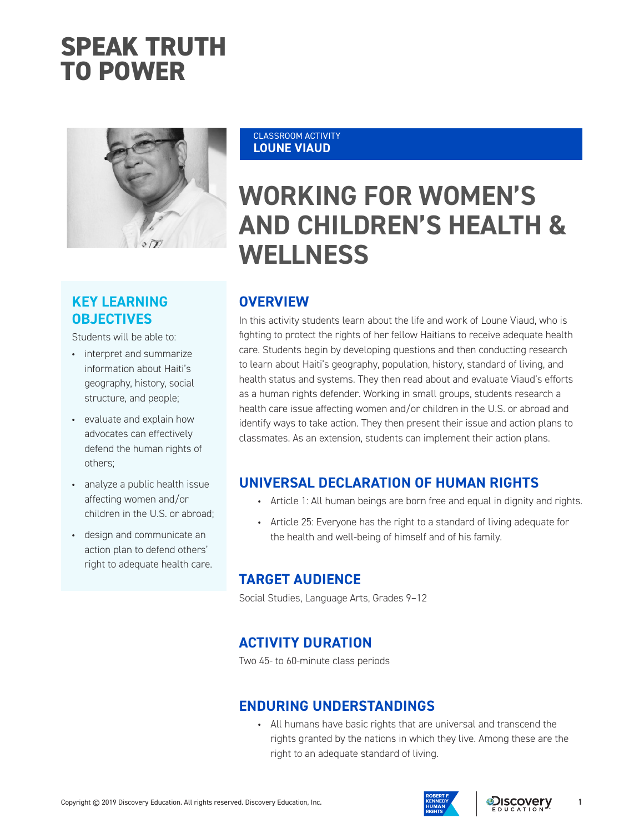## **SPEAK TRUTH TO POWER**



## **KEY LEARNING OBJECTIVES**

Students will be able to:

- interpret and summarize information about Haiti's geography, history, social structure, and people;
- evaluate and explain how advocates can effectively defend the human rights of others;
- analyze a public health issue affecting women and/or children in the U.S. or abroad;
- design and communicate an action plan to defend others' right to adequate health care.

#### CLASSROOM ACTIVITY **LOUNE VIAUD**

# **WORKING FOR WOMEN'S AND CHILDREN'S HEALTH & WELLNESS**

## **OVERVIEW**

In this activity students learn about the life and work of Loune Viaud, who is fighting to protect the rights of her fellow Haitians to receive adequate health care. Students begin by developing questions and then conducting research to learn about Haiti's geography, population, history, standard of living, and health status and systems. They then read about and evaluate Viaud's efforts as a human rights defender. Working in small groups, students research a health care issue affecting women and/or children in the U.S. or abroad and identify ways to take action. They then present their issue and action plans to classmates. As an extension, students can implement their action plans.

## **UNIVERSAL DECLARATION OF HUMAN RIGHTS**

- Article 1: All human beings are born free and equal in dignity and rights.
- Article 25: Everyone has the right to a standard of living adequate for the health and well-being of himself and of his family.

## **TARGET AUDIENCE**

Social Studies, Language Arts, Grades 9–12

## **ACTIVITY DURATION**

Two 45- to 60-minute class periods

## **ENDURING UNDERSTANDINGS**

• All humans have basic rights that are universal and transcend the rights granted by the nations in which they live. Among these are the right to an adequate standard of living.



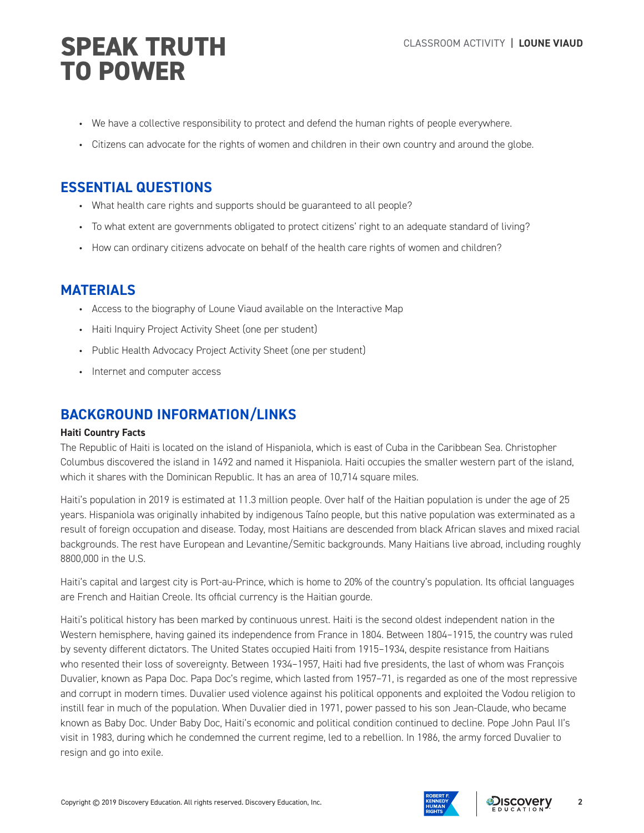- We have a collective responsibility to protect and defend the human rights of people everywhere.
- Citizens can advocate for the rights of women and children in their own country and around the globe.

## **ESSENTIAL QUESTIONS**

- What health care rights and supports should be guaranteed to all people?
- To what extent are governments obligated to protect citizens' right to an adequate standard of living?
- How can ordinary citizens advocate on behalf of the health care rights of women and children?

## **MATERIALS**

- Access to the biography of Loune Viaud available on the Interactive Map
- Haiti Inquiry Project Activity Sheet (one per student)
- Public Health Advocacy Project Activity Sheet (one per student)
- Internet and computer access

## **BACKGROUND INFORMATION/LINKS**

### **Haiti Country Facts**

The Republic of Haiti is located on the island of Hispaniola, which is east of Cuba in the Caribbean Sea. Christopher Columbus discovered the island in 1492 and named it Hispaniola. Haiti occupies the smaller western part of the island, which it shares with the Dominican Republic. It has an area of 10,714 square miles.

Haiti's population in 2019 is estimated at 11.3 million people. Over half of the Haitian population is under the age of 25 years. Hispaniola was originally inhabited by indigenous Taíno people, but this native population was exterminated as a result of foreign occupation and disease. Today, most Haitians are descended from black African slaves and mixed racial backgrounds. The rest have European and Levantine/Semitic backgrounds. Many Haitians live abroad, including roughly 8800,000 in the U.S.

Haiti's capital and largest city is Port-au-Prince, which is home to 20% of the country's population. Its official languages are French and Haitian Creole. Its official currency is the Haitian gourde.

Haiti's political history has been marked by continuous unrest. Haiti is the second oldest independent nation in the Western hemisphere, having gained its independence from France in 1804. Between 1804–1915, the country was ruled by seventy different dictators. The United States occupied Haiti from 1915–1934, despite resistance from Haitians who resented their loss of sovereignty. Between 1934–1957, Haiti had five presidents, the last of whom was François Duvalier, known as Papa Doc. Papa Doc's regime, which lasted from 1957–71, is regarded as one of the most repressive and corrupt in modern times. Duvalier used violence against his political opponents and exploited the Vodou religion to instill fear in much of the population. When Duvalier died in 1971, power passed to his son Jean-Claude, who became known as Baby Doc. Under Baby Doc, Haiti's economic and political condition continued to decline. Pope John Paul II's visit in 1983, during which he condemned the current regime, led to a rebellion. In 1986, the army forced Duvalier to resign and go into exile.

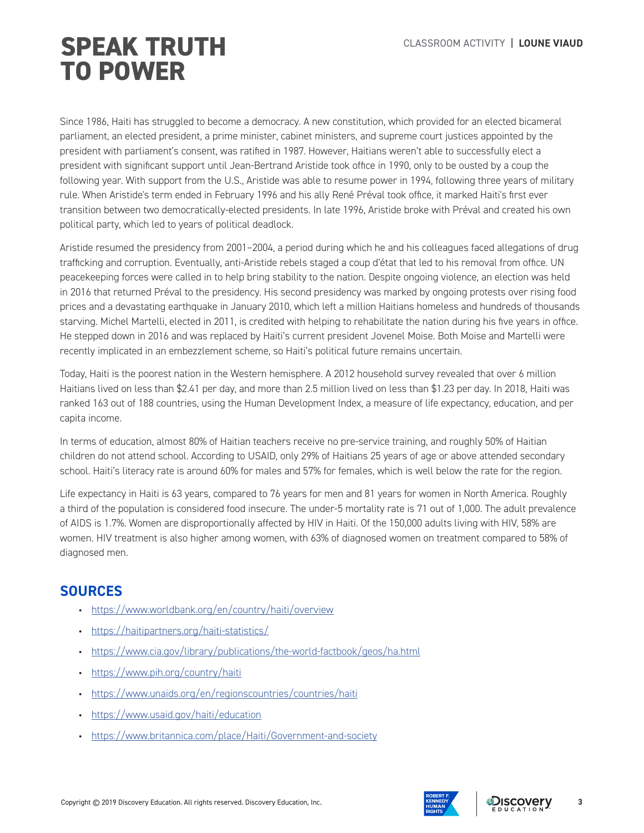Since 1986, Haiti has struggled to become a democracy. A new constitution, which provided for an elected bicameral parliament, an elected president, a prime minister, cabinet ministers, and supreme court justices appointed by the president with parliament's consent, was ratified in 1987. However, Haitians weren't able to successfully elect a president with significant support until Jean-Bertrand Aristide took office in 1990, only to be ousted by a coup the following year. With support from the U.S., Aristide was able to resume power in 1994, following three years of military rule. When Aristide's term ended in February 1996 and his ally René Préval took office, it marked Haiti's first ever transition between two democratically-elected presidents. In late 1996, Aristide broke with Préval and created his own political party, which led to years of political deadlock.

Aristide resumed the presidency from 2001–2004, a period during which he and his colleagues faced allegations of drug trafficking and corruption. Eventually, anti-Aristide rebels staged a coup d'état that led to his removal from office. UN peacekeeping forces were called in to help bring stability to the nation. Despite ongoing violence, an election was held in 2016 that returned Préval to the presidency. His second presidency was marked by ongoing protests over rising food prices and a devastating earthquake in January 2010, which left a million Haitians homeless and hundreds of thousands starving. Michel Martelli, elected in 2011, is credited with helping to rehabilitate the nation during his five years in office. He stepped down in 2016 and was replaced by Haiti's current president Jovenel Moise. Both Moise and Martelli were recently implicated in an embezzlement scheme, so Haiti's political future remains uncertain.

Today, Haiti is the poorest nation in the Western hemisphere. A 2012 household survey revealed that over 6 million Haitians lived on less than \$2.41 per day, and more than 2.5 million lived on less than \$1.23 per day. In 2018, Haiti was ranked 163 out of 188 countries, using the Human Development Index, a measure of life expectancy, education, and per capita income.

In terms of education, almost 80% of Haitian teachers receive no pre-service training, and roughly 50% of Haitian children do not attend school. According to USAID, only 29% of Haitians 25 years of age or above attended secondary school. Haiti's literacy rate is around 60% for males and 57% for females, which is well below the rate for the region.

Life expectancy in Haiti is 63 years, compared to 76 years for men and 81 years for women in North America. Roughly a third of the population is considered food insecure. The under-5 mortality rate is 71 out of 1,000. The adult prevalence of AIDS is 1.7%. Women are disproportionally affected by HIV in Haiti. Of the 150,000 adults living with HIV, 58% are women. HIV treatment is also higher among women, with 63% of diagnosed women on treatment compared to 58% of diagnosed men.

## **SOURCES**

- https://www.worldbank.org/en/country/haiti/overview
- https://haitipartners.org/haiti-statistics/
- https://www.cia.gov/library/publications/the-world-factbook/geos/ha.html
- https://www.pih.org/country/haiti
- https://www.unaids.org/en/regionscountries/countries/haiti
- https://www.usaid.gov/haiti/education
- https://www.britannica.com/place/Haiti/Government-and-society

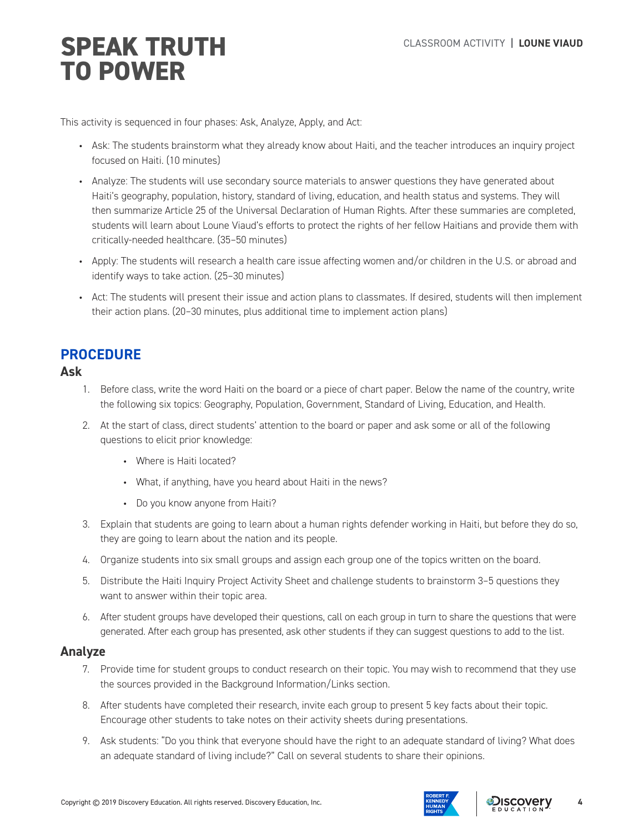This activity is sequenced in four phases: Ask, Analyze, Apply, and Act:

- Ask: The students brainstorm what they already know about Haiti, and the teacher introduces an inquiry project focused on Haiti. (10 minutes)
- Analyze: The students will use secondary source materials to answer questions they have generated about Haiti's geography, population, history, standard of living, education, and health status and systems. They will then summarize Article 25 of the Universal Declaration of Human Rights. After these summaries are completed, students will learn about Loune Viaud's efforts to protect the rights of her fellow Haitians and provide them with critically-needed healthcare. (35–50 minutes)
- Apply: The students will research a health care issue affecting women and/or children in the U.S. or abroad and identify ways to take action. (25–30 minutes)
- Act: The students will present their issue and action plans to classmates. If desired, students will then implement their action plans. (20–30 minutes, plus additional time to implement action plans)

## **PROCEDURE**

### **Ask**

- 1. Before class, write the word Haiti on the board or a piece of chart paper. Below the name of the country, write the following six topics: Geography, Population, Government, Standard of Living, Education, and Health.
- 2. At the start of class, direct students' attention to the board or paper and ask some or all of the following questions to elicit prior knowledge:
	- Where is Haiti located?
	- What, if anything, have you heard about Haiti in the news?
	- Do you know anyone from Haiti?
- 3. Explain that students are going to learn about a human rights defender working in Haiti, but before they do so, they are going to learn about the nation and its people.
- 4. Organize students into six small groups and assign each group one of the topics written on the board.
- 5. Distribute the Haiti Inquiry Project Activity Sheet and challenge students to brainstorm 3–5 questions they want to answer within their topic area.
- 6. After student groups have developed their questions, call on each group in turn to share the questions that were generated. After each group has presented, ask other students if they can suggest questions to add to the list.

### **Analyze**

- 7. Provide time for student groups to conduct research on their topic. You may wish to recommend that they use the sources provided in the Background Information/Links section.
- 8. After students have completed their research, invite each group to present 5 key facts about their topic. Encourage other students to take notes on their activity sheets during presentations.
- 9. Ask students: "Do you think that everyone should have the right to an adequate standard of living? What does an adequate standard of living include?" Call on several students to share their opinions.



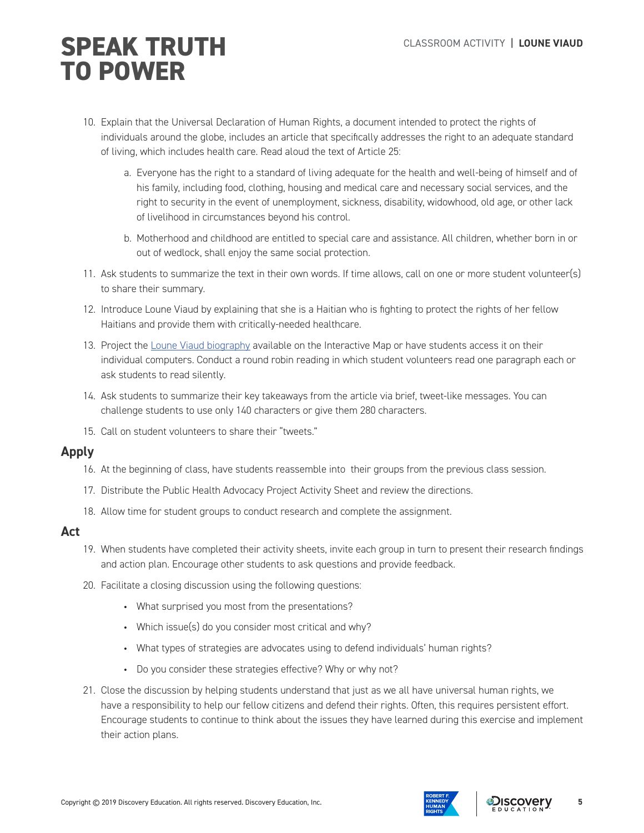- 10. Explain that the Universal Declaration of Human Rights, a document intended to protect the rights of individuals around the globe, includes an article that specifically addresses the right to an adequate standard of living, which includes health care. Read aloud the text of Article 25:
	- a. Everyone has the right to a standard of living adequate for the health and well-being of himself and of his family, including food, clothing, housing and medical care and necessary social services, and the right to security in the event of unemployment, sickness, disability, widowhood, old age, or other lack of livelihood in circumstances beyond his control.
	- b. Motherhood and childhood are entitled to special care and assistance. All children, whether born in or out of wedlock, shall enjoy the same social protection.
- 11. Ask students to summarize the text in their own words. If time allows, call on one or more student volunteer(s) to share their summary.
- 12. Introduce Loune Viaud by explaining that she is a Haitian who is fighting to protect the rights of her fellow Haitians and provide them with critically-needed healthcare.
- 13. Project the Loune Viaud biography available on the Interactive Map or have students access it on their individual computers. Conduct a round robin reading in which student volunteers read one paragraph each or ask students to read silently.
- 14. Ask students to summarize their key takeaways from the article via brief, tweet-like messages. You can challenge students to use only 140 characters or give them 280 characters.
- 15. Call on student volunteers to share their "tweets."

### **Apply**

- 16. At the beginning of class, have students reassemble into their groups from the previous class session.
- 17. Distribute the Public Health Advocacy Project Activity Sheet and review the directions.
- 18. Allow time for student groups to conduct research and complete the assignment.

### **Act**

- 19. When students have completed their activity sheets, invite each group in turn to present their research findings and action plan. Encourage other students to ask questions and provide feedback.
- 20. Facilitate a closing discussion using the following questions:
	- What surprised you most from the presentations?
	- Which issue(s) do you consider most critical and why?
	- What types of strategies are advocates using to defend individuals' human rights?
	- Do you consider these strategies effective? Why or why not?
- 21. Close the discussion by helping students understand that just as we all have universal human rights, we have a responsibility to help our fellow citizens and defend their rights. Often, this requires persistent effort. Encourage students to continue to think about the issues they have learned during this exercise and implement their action plans.





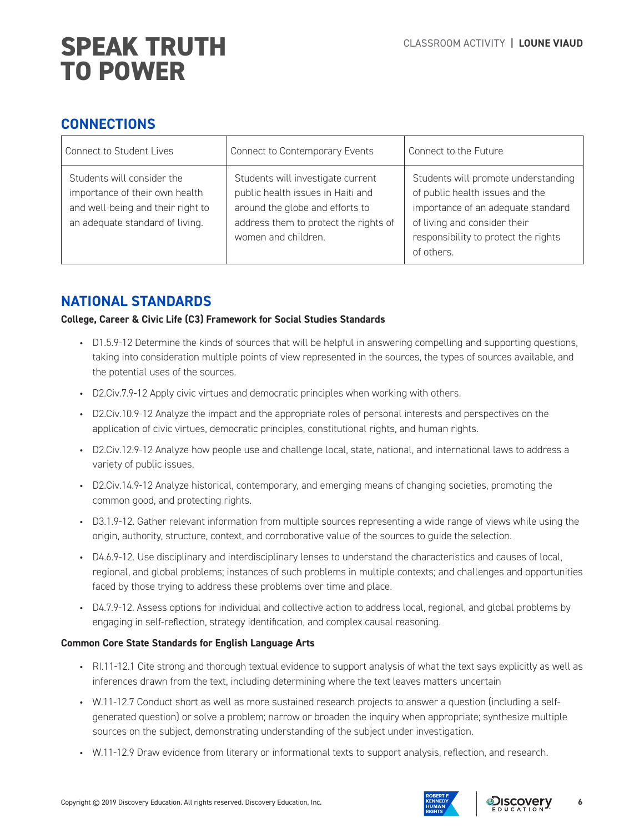## **CONNECTIONS**

| <b>Connect to Student Lives</b>                                                                                                      | Connect to Contemporary Events                                                                                                                                            | Connect to the Future                                                                                                                                                                              |  |
|--------------------------------------------------------------------------------------------------------------------------------------|---------------------------------------------------------------------------------------------------------------------------------------------------------------------------|----------------------------------------------------------------------------------------------------------------------------------------------------------------------------------------------------|--|
| Students will consider the<br>importance of their own health<br>and well-being and their right to<br>an adequate standard of living. | Students will investigate current<br>public health issues in Haiti and<br>around the globe and efforts to<br>address them to protect the rights of<br>women and children. | Students will promote understanding<br>of public health issues and the<br>importance of an adequate standard<br>of living and consider their<br>responsibility to protect the rights<br>of others. |  |

## **NATIONAL STANDARDS**

### **College, Career & Civic Life (C3) Framework for Social Studies Standards**

- D1.5.9-12 Determine the kinds of sources that will be helpful in answering compelling and supporting questions, taking into consideration multiple points of view represented in the sources, the types of sources available, and the potential uses of the sources.
- D2.Civ.7.9-12 Apply civic virtues and democratic principles when working with others.
- D2.Civ.10.9-12 Analyze the impact and the appropriate roles of personal interests and perspectives on the application of civic virtues, democratic principles, constitutional rights, and human rights.
- D2.Civ.12.9-12 Analyze how people use and challenge local, state, national, and international laws to address a variety of public issues.
- D2.Civ.14.9-12 Analyze historical, contemporary, and emerging means of changing societies, promoting the common good, and protecting rights.
- D3.1.9-12. Gather relevant information from multiple sources representing a wide range of views while using the origin, authority, structure, context, and corroborative value of the sources to guide the selection.
- D4.6.9-12. Use disciplinary and interdisciplinary lenses to understand the characteristics and causes of local, regional, and global problems; instances of such problems in multiple contexts; and challenges and opportunities faced by those trying to address these problems over time and place.
- D4.7.9-12. Assess options for individual and collective action to address local, regional, and global problems by engaging in self-reflection, strategy identification, and complex causal reasoning.

### **Common Core State Standards for English Language Arts**

- RI.11-12.1 Cite strong and thorough textual evidence to support analysis of what the text says explicitly as well as inferences drawn from the text, including determining where the text leaves matters uncertain
- W.11-12.7 Conduct short as well as more sustained research projects to answer a question (including a selfgenerated question) or solve a problem; narrow or broaden the inquiry when appropriate; synthesize multiple sources on the subject, demonstrating understanding of the subject under investigation.
- W.11-12.9 Draw evidence from literary or informational texts to support analysis, reflection, and research.

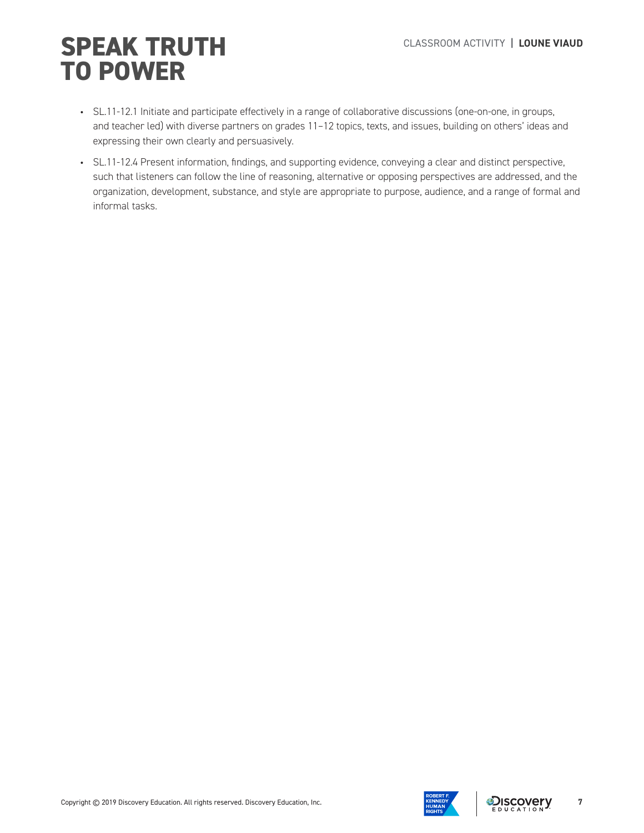- SL.11-12.1 Initiate and participate effectively in a range of collaborative discussions (one-on-one, in groups, and teacher led) with diverse partners on grades 11–12 topics, texts, and issues, building on others' ideas and expressing their own clearly and persuasively.
- SL.11-12.4 Present information, findings, and supporting evidence, conveying a clear and distinct perspective, such that listeners can follow the line of reasoning, alternative or opposing perspectives are addressed, and the organization, development, substance, and style are appropriate to purpose, audience, and a range of formal and informal tasks.

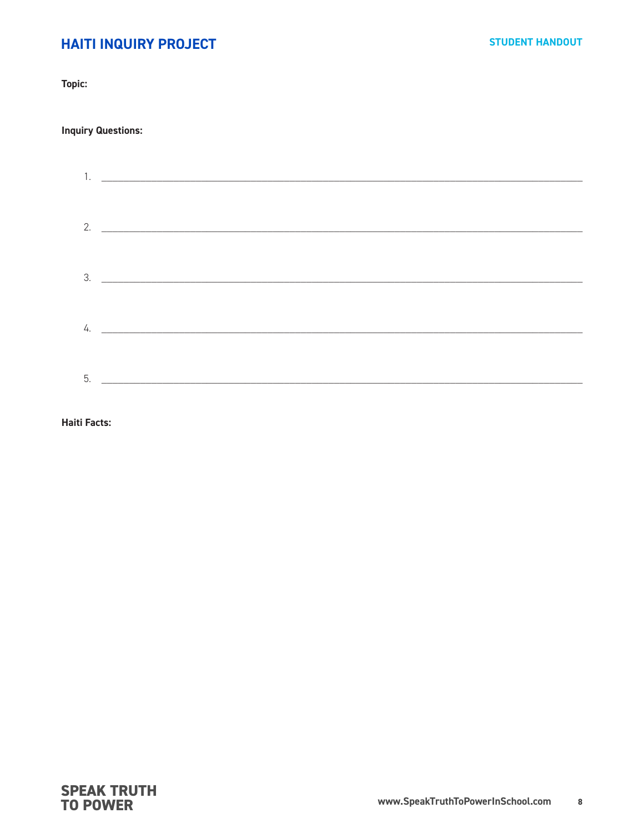## **HAITI INQUIRY PROJECT**

Topic:

### **Inquiry Questions:**

|  | 2. $\overline{\phantom{a}}$ |  |
|--|-----------------------------|--|
|  |                             |  |
|  | $\frac{3}{2}$               |  |
|  |                             |  |
|  | 4. $\qquad \qquad$          |  |
|  |                             |  |
|  | $5.$ $\qquad \qquad$        |  |
|  |                             |  |

**Haiti Facts:**